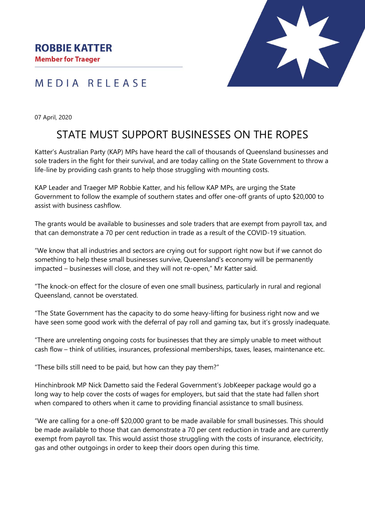



07 April, 2020

## STATE MUST SUPPORT BUSINESSES ON THE ROPES

Katter's Australian Party (KAP) MPs have heard the call of thousands of Queensland businesses and sole traders in the fight for their survival, and are today calling on the State Government to throw a life-line by providing cash grants to help those struggling with mounting costs.

KAP Leader and Traeger MP Robbie Katter, and his fellow KAP MPs, are urging the State Government to follow the example of southern states and offer one-off grants of upto \$20,000 to assist with business cashflow.

The grants would be available to businesses and sole traders that are exempt from payroll tax, and that can demonstrate a 70 per cent reduction in trade as a result of the COVID-19 situation.

"We know that all industries and sectors are crying out for support right now but if we cannot do something to help these small businesses survive, Queensland's economy will be permanently impacted – businesses will close, and they will not re-open," Mr Katter said.

"The knock-on effect for the closure of even one small business, particularly in rural and regional Queensland, cannot be overstated.

"The State Government has the capacity to do some heavy-lifting for business right now and we have seen some good work with the deferral of pay roll and gaming tax, but it's grossly inadequate.

"There are unrelenting ongoing costs for businesses that they are simply unable to meet without cash flow – think of utilities, insurances, professional memberships, taxes, leases, maintenance etc.

"These bills still need to be paid, but how can they pay them?"

Hinchinbrook MP Nick Dametto said the Federal Government's JobKeeper package would go a long way to help cover the costs of wages for employers, but said that the state had fallen short when compared to others when it came to providing financial assistance to small business.

"We are calling for a one-off \$20,000 grant to be made available for small businesses. This should be made available to those that can demonstrate a 70 per cent reduction in trade and are currently exempt from payroll tax. This would assist those struggling with the costs of insurance, electricity, gas and other outgoings in order to keep their doors open during this time.